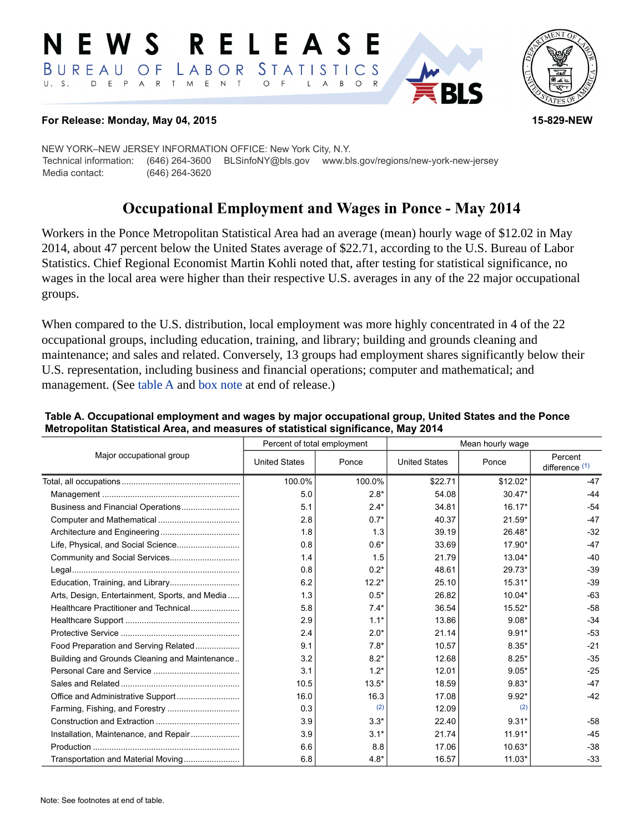#### RELEASE E W S LABOR STATISTICS BUREAU OF D E P A R T M E N T  $\circ$  $U. S.$  $\overline{F}$  $\mathsf{L}$  $\overline{A}$  $B$  $\circ$  $\mathsf{R}$



#### **For Release: Monday, May 04, 2015 15-829-NEW**

NEW YORK–NEW JERSEY INFORMATION OFFICE: New York City, N.Y. Technical information: (646) 264-3600 BLSinfoNY@bls.gov www.bls.gov/regions/new-york-new-jersey Media contact: (646) 264-3620

# **Occupational Employment and Wages in Ponce - May 2014**

Workers in the Ponce Metropolitan Statistical Area had an average (mean) hourly wage of \$12.02 in May 2014, about 47 percent below the United States average of \$22.71, according to the U.S. Bureau of Labor Statistics. Chief Regional Economist Martin Kohli noted that, after testing for statistical significance, no wages in the local area were higher than their respective U.S. averages in any of the 22 major occupational groups.

When compared to the U.S. distribution, local employment was more highly concentrated in 4 of the 22 occupational groups, including education, training, and library; building and grounds cleaning and maintenance; and sales and related. Conversely, 13 groups had employment shares significantly below their U.S. representation, including business and financial operations; computer and mathematical; and management. (See table A and [box note](#page-1-0) at end of release.)

| Major occupational group                       | Percent of total employment |         | Mean hourly wage     |          |                             |
|------------------------------------------------|-----------------------------|---------|----------------------|----------|-----------------------------|
|                                                | <b>United States</b>        | Ponce   | <b>United States</b> | Ponce    | Percent<br>difference $(1)$ |
|                                                | 100.0%                      | 100.0%  | \$22.71              | \$12.02* | $-47$                       |
|                                                | 5.0                         | $2.8*$  | 54.08                | $30.47*$ | $-44$                       |
| Business and Financial Operations              | 5.1                         | $2.4*$  | 34.81                | $16.17*$ | $-54$                       |
|                                                | 2.8                         | $0.7*$  | 40.37                | $21.59*$ | $-47$                       |
|                                                | 1.8                         | 1.3     | 39.19                | 26.48*   | $-32$                       |
|                                                | 0.8                         | $0.6*$  | 33.69                | 17.90*   | $-47$                       |
|                                                | 1.4                         | 1.5     | 21.79                | 13.04*   | $-40$                       |
|                                                | 0.8                         | $0.2*$  | 48.61                | 29.73*   | $-39$                       |
|                                                | 6.2                         | $12.2*$ | 25.10                | $15.31*$ | $-39$                       |
| Arts, Design, Entertainment, Sports, and Media | 1.3                         | $0.5*$  | 26.82                | $10.04*$ | $-63$                       |
| Healthcare Practitioner and Technical          | 5.8                         | $7.4*$  | 36.54                | $15.52*$ | $-58$                       |
|                                                | 2.9                         | $1.1*$  | 13.86                | $9.08*$  | $-34$                       |
|                                                | 2.4                         | $2.0*$  | 21.14                | $9.91*$  | $-53$                       |
| Food Preparation and Serving Related           | 9.1                         | $7.8*$  | 10.57                | $8.35*$  | $-21$                       |
| Building and Grounds Cleaning and Maintenance  | 3.2                         | $8.2*$  | 12.68                | $8.25*$  | $-35$                       |
|                                                | 3.1                         | $1.2*$  | 12.01                | $9.05*$  | $-25$                       |
|                                                | 10.5                        | $13.5*$ | 18.59                | $9.83*$  | $-47$                       |
|                                                | 16.0                        | 16.3    | 17.08                | $9.92*$  | $-42$                       |
|                                                | 0.3                         | (2)     | 12.09                | (2)      |                             |
|                                                | 3.9                         | $3.3*$  | 22.40                | $9.31*$  | $-58$                       |
|                                                | 3.9                         | $3.1*$  | 21.74                | $11.91*$ | $-45$                       |
|                                                | 6.6                         | 8.8     | 17.06                | $10.63*$ | $-38$                       |
| Transportation and Material Moving             | 6.8                         | $4.8*$  | 16.57                | $11.03*$ | $-33$                       |

#### **Table A. Occupational employment and wages by major occupational group, United States and the Ponce Metropolitan Statistical Area, and measures of statistical significance, May 2014**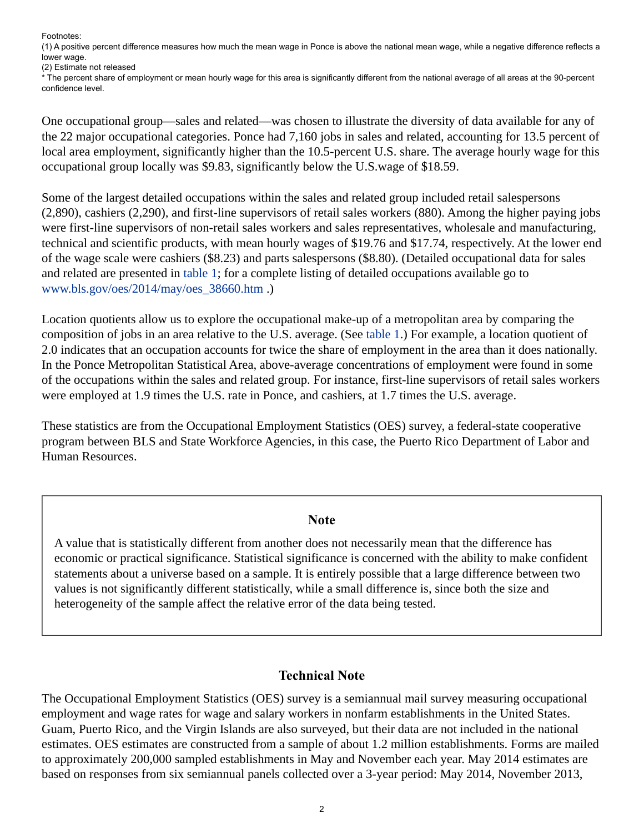Footnotes:

<span id="page-1-1"></span>(1) A positive percent difference measures how much the mean wage in Ponce is above the national mean wage, while a negative difference reflects a lower wage.

<span id="page-1-2"></span>(2) Estimate not released

\* The percent share of employment or mean hourly wage for this area is significantly different from the national average of all areas at the 90-percent confidence level.

One occupational group—sales and related—was chosen to illustrate the diversity of data available for any of the 22 major occupational categories. Ponce had 7,160 jobs in sales and related, accounting for 13.5 percent of local area employment, significantly higher than the 10.5-percent U.S. share. The average hourly wage for this occupational group locally was \$9.83, significantly below the U.S.wage of \$18.59.

Some of the largest detailed occupations within the sales and related group included retail salespersons (2,890), cashiers (2,290), and first-line supervisors of retail sales workers (880). Among the higher paying jobs were first-line supervisors of non-retail sales workers and sales representatives, wholesale and manufacturing, technical and scientific products, with mean hourly wages of \$19.76 and \$17.74, respectively. At the lower end of the wage scale were cashiers (\$8.23) and parts salespersons (\$8.80). (Detailed occupational data for sales and related are presented in table 1; for a complete listing of detailed occupations available go to [www.bls.gov/oes/2014/may/oes\\_38660.htm](https://www.bls.gov/oes/2014/may/oes_38660.htm) .)

Location quotients allow us to explore the occupational make-up of a metropolitan area by comparing the composition of jobs in an area relative to the U.S. average. (See table 1.) For example, a location quotient of 2.0 indicates that an occupation accounts for twice the share of employment in the area than it does nationally. In the Ponce Metropolitan Statistical Area, above-average concentrations of employment were found in some of the occupations within the sales and related group. For instance, first-line supervisors of retail sales workers were employed at 1.9 times the U.S. rate in Ponce, and cashiers, at 1.7 times the U.S. average.

These statistics are from the Occupational Employment Statistics (OES) survey, a federal-state cooperative program between BLS and State Workforce Agencies, in this case, the Puerto Rico Department of Labor and Human Resources.

### **Note**

<span id="page-1-0"></span>A value that is statistically different from another does not necessarily mean that the difference has economic or practical significance. Statistical significance is concerned with the ability to make confident statements about a universe based on a sample. It is entirely possible that a large difference between two values is not significantly different statistically, while a small difference is, since both the size and heterogeneity of the sample affect the relative error of the data being tested.

# **Technical Note**

The Occupational Employment Statistics (OES) survey is a semiannual mail survey measuring occupational employment and wage rates for wage and salary workers in nonfarm establishments in the United States. Guam, Puerto Rico, and the Virgin Islands are also surveyed, but their data are not included in the national estimates. OES estimates are constructed from a sample of about 1.2 million establishments. Forms are mailed to approximately 200,000 sampled establishments in May and November each year. May 2014 estimates are based on responses from six semiannual panels collected over a 3-year period: May 2014, November 2013,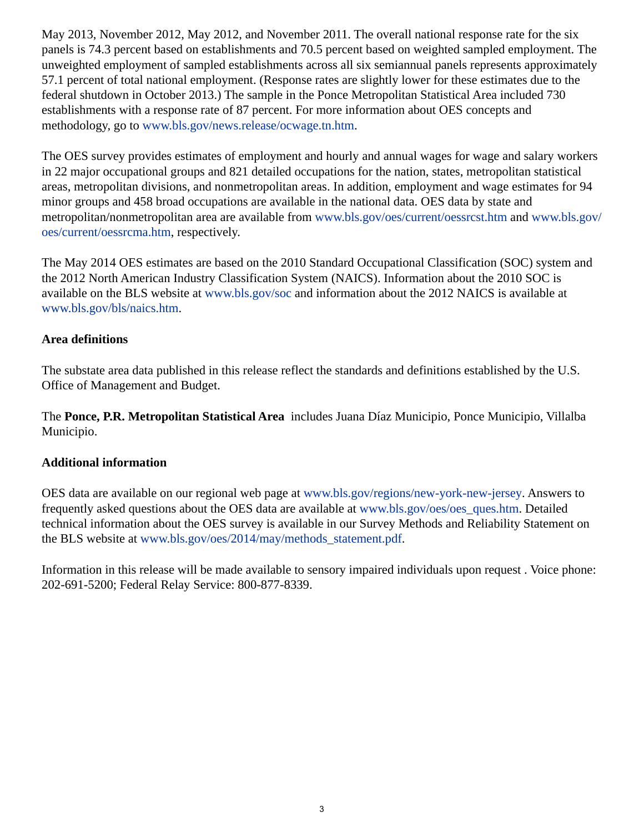May 2013, November 2012, May 2012, and November 2011. The overall national response rate for the six panels is 74.3 percent based on establishments and 70.5 percent based on weighted sampled employment. The unweighted employment of sampled establishments across all six semiannual panels represents approximately 57.1 percent of total national employment. (Response rates are slightly lower for these estimates due to the federal shutdown in October 2013.) The sample in the Ponce Metropolitan Statistical Area included 730 establishments with a response rate of 87 percent. For more information about OES concepts and methodology, go to [www.bls.gov/news.release/ocwage.tn.htm.](https://www.bls.gov/news.release/ocwage.tn.htm)

The OES survey provides estimates of employment and hourly and annual wages for wage and salary workers in 22 major occupational groups and 821 detailed occupations for the nation, states, metropolitan statistical areas, metropolitan divisions, and nonmetropolitan areas. In addition, employment and wage estimates for 94 minor groups and 458 broad occupations are available in the national data. OES data by state and metropolitan/nonmetropolitan area are available from [www.bls.gov/oes/current/oessrcst.htm](https://www.bls.gov/oes/current/oessrcst.htm) and [www.bls.gov/](https://www.bls.gov/oes/current/oessrcma.htm) [oes/current/oessrcma.htm,](https://www.bls.gov/oes/current/oessrcma.htm) respectively.

The May 2014 OES estimates are based on the 2010 Standard Occupational Classification (SOC) system and the 2012 North American Industry Classification System (NAICS). Information about the 2010 SOC is available on the BLS website at [www.bls.gov/soc](https://www.bls.gov/soc) and information about the 2012 NAICS is available at [www.bls.gov/bls/naics.htm.](https://www.bls.gov/bls/naics.htm)

# **Area definitions**

The substate area data published in this release reflect the standards and definitions established by the U.S. Office of Management and Budget.

The **Ponce, P.R. Metropolitan Statistical Area** includes Juana Díaz Municipio, Ponce Municipio, Villalba Municipio.

# **Additional information**

OES data are available on our regional web page at [www.bls.gov/regions/new-york-new-jersey](https://www.bls.gov/regions/new-york-new-jersey). Answers to frequently asked questions about the OES data are available at [www.bls.gov/oes/oes\\_ques.htm](https://www.bls.gov/oes/oes_ques.htm). Detailed technical information about the OES survey is available in our Survey Methods and Reliability Statement on the BLS website at [www.bls.gov/oes/2014/may/methods\\_statement.pdf](https://www.bls.gov/oes/2014/may/methods_statement.pdf).

Information in this release will be made available to sensory impaired individuals upon request . Voice phone: 202-691-5200; Federal Relay Service: 800-877-8339.